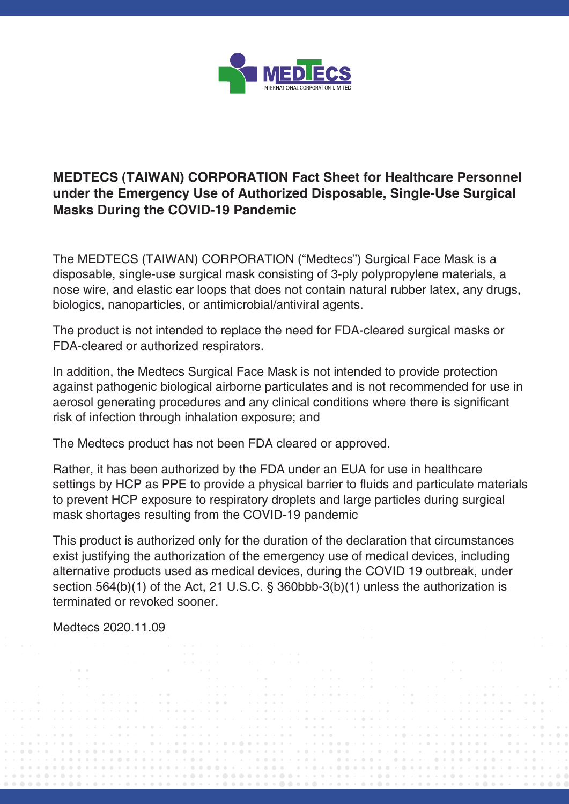

## **MEDTECS (TAIWAN) CORPORATION Fact Sheet for Healthcare Personnel under the Emergency Use of Authorized Disposable, Single-Use Surgical Masks During the COVID-19 Pandemic**

The MEDTECS (TAIWAN) CORPORATION ("Medtecs") Surgical Face Mask is a disposable, single-use surgical mask consisting of 3-ply polypropylene materials, a nose wire, and elastic ear loops that does not contain natural rubber latex, any drugs, biologics, nanoparticles, or antimicrobial/antiviral agents.

The product is not intended to replace the need for FDA-cleared surgical masks or FDA-cleared or authorized respirators.

In addition, the Medtecs Surgical Face Mask is not intended to provide protection against pathogenic biological airborne particulates and is not recommended for use in aerosol generating procedures and any clinical conditions where there is significant risk of infection through inhalation exposure; and

The Medtecs product has not been FDA cleared or approved.

Rather, it has been authorized by the FDA under an EUA for use in healthcare settings by HCP as PPE to provide a physical barrier to fluids and particulate materials to prevent HCP exposure to respiratory droplets and large particles during surgical mask shortages resulting from the COVID-19 pandemic

This product is authorized only for the duration of the declaration that circumstances exist justifying the authorization of the emergency use of medical devices, including alternative products used as medical devices, during the COVID 19 outbreak, under section 564(b)(1) of the Act, 21 U.S.C. § 360bbb-3(b)(1) unless the authorization is terminated or revoked sooner.

Medtecs 2020.11.09